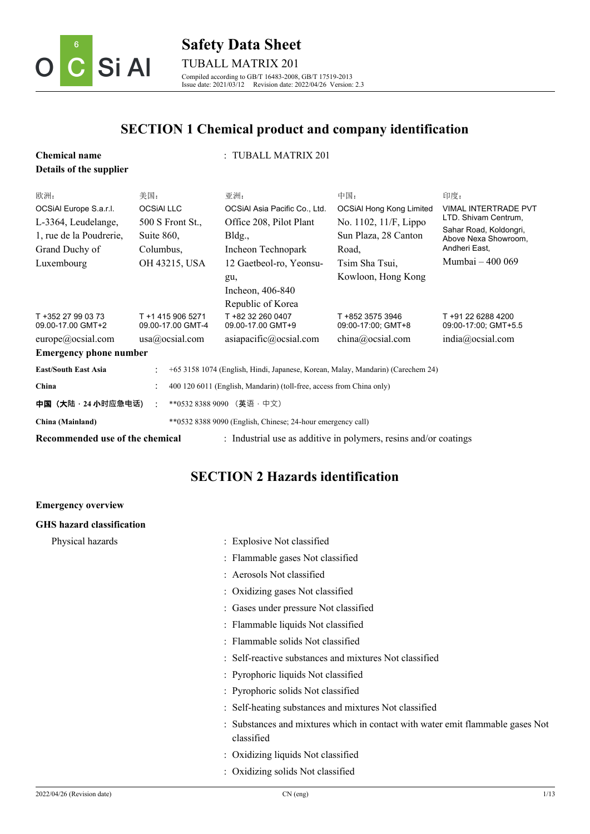

### **Safety Data Sheet** TUBALL MATRIX 201 Compiled according to GB/T 16483-2008, GB/T 17519-2013 Issue date: 2021/03/12 Revision date: 2022/04/26 Version: 2.3

# **SECTION 1 Chemical product and company identification**

| <b>Chemical name</b>                                                                                            |                                                     | : TUBALL MATRIX 201                                                  |                                                                                                                            |                                                                                                                    |                                                                                                                                                   |
|-----------------------------------------------------------------------------------------------------------------|-----------------------------------------------------|----------------------------------------------------------------------|----------------------------------------------------------------------------------------------------------------------------|--------------------------------------------------------------------------------------------------------------------|---------------------------------------------------------------------------------------------------------------------------------------------------|
| Details of the supplier                                                                                         |                                                     |                                                                      |                                                                                                                            |                                                                                                                    |                                                                                                                                                   |
| 欧洲:<br>OCSIAI Europe S.a.r.l.<br>L-3364, Leudelange,<br>1, rue de la Poudrerie,<br>Grand Duchy of<br>Luxembourg | 美国:<br><b>OCSIAI LLC</b><br>Suite 860,<br>Columbus, | 500 S Front St.,<br>OH 43215, USA                                    | 亚洲:<br>OCSIAI Asia Pacific Co., Ltd.<br>Office 208, Pilot Plant<br>Bldg.,<br>Incheon Technopark<br>12 Gaetbeol-ro, Yeonsu- | 中国:<br><b>OCSiAl Hong Kong Limited</b><br>No. 1102, 11/F, Lippo<br>Sun Plaza, 28 Canton<br>Road,<br>Tsim Sha Tsui, | 印度:<br><b>VIMAL INTERTRADE PVT</b><br>LTD. Shivam Centrum,<br>Sahar Road, Koldongri,<br>Above Nexa Showroom.<br>Andheri East,<br>Mumbai – 400 069 |
| T +352 27 99 03 73                                                                                              |                                                     | T +1 415 906 5271                                                    | gu,<br>Incheon, 406-840<br>Republic of Korea<br>T +82 32 260 0407                                                          | Kowloon, Hong Kong<br>T +852 3575 3946                                                                             | T +91 22 6288 4200                                                                                                                                |
| 09.00-17.00 GMT+2                                                                                               |                                                     | 09.00-17.00 GMT-4                                                    | 09.00-17.00 GMT+9                                                                                                          | 09:00-17:00; GMT+8                                                                                                 | 09:00-17:00; GMT+5.5                                                                                                                              |
| europe@ocsial.com                                                                                               |                                                     | usa@ocsial.com                                                       | asiapacific@ocsial.com                                                                                                     | china@ocsial.com                                                                                                   | india@ocsial.com                                                                                                                                  |
| <b>Emergency phone number</b>                                                                                   |                                                     |                                                                      |                                                                                                                            |                                                                                                                    |                                                                                                                                                   |
| <b>East/South East Asia</b>                                                                                     |                                                     |                                                                      | +65 3158 1074 (English, Hindi, Japanese, Korean, Malay, Mandarin) (Carechem 24)                                            |                                                                                                                    |                                                                                                                                                   |
| China                                                                                                           |                                                     | 400 120 6011 (English, Mandarin) (toll-free, access from China only) |                                                                                                                            |                                                                                                                    |                                                                                                                                                   |
| 中国 (大陆·24 小时应急电话)                                                                                               |                                                     |                                                                      | **0532 8388 9090 (英语·中文)                                                                                                   |                                                                                                                    |                                                                                                                                                   |
| China (Mainland)                                                                                                |                                                     |                                                                      | **0532 8388 9090 (English, Chinese; 24-hour emergency call)                                                                |                                                                                                                    |                                                                                                                                                   |
| Recommended use of the chemical                                                                                 |                                                     |                                                                      | : Industrial use as additive in polymers, resins and/or coatings                                                           |                                                                                                                    |                                                                                                                                                   |

## **SECTION 2 Hazards identification**

| <b>Emergency overview</b>        |                                                                                              |
|----------------------------------|----------------------------------------------------------------------------------------------|
| <b>GHS</b> hazard classification |                                                                                              |
| Physical hazards                 | : Explosive Not classified                                                                   |
|                                  | : Flammable gases Not classified                                                             |
|                                  | : Aerosols Not classified                                                                    |
|                                  | : Oxidizing gases Not classified                                                             |
|                                  | : Gases under pressure Not classified                                                        |
|                                  | : Flammable liquids Not classified                                                           |
|                                  | : Flammable solids Not classified                                                            |
|                                  | : Self-reactive substances and mixtures Not classified                                       |
|                                  | : Pyrophoric liquids Not classified                                                          |
|                                  | : Pyrophoric solids Not classified                                                           |
|                                  | : Self-heating substances and mixtures Not classified                                        |
|                                  | : Substances and mixtures which in contact with water emit flammable gases Not<br>classified |
|                                  | : Oxidizing liquids Not classified                                                           |
|                                  | : Oxidizing solids Not classified                                                            |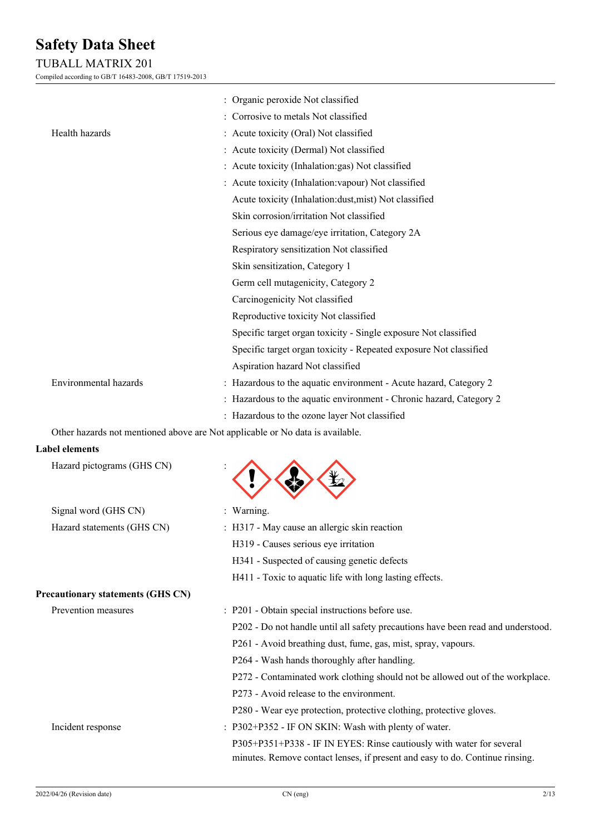### TUBALL MATRIX 201

Compiled according to GB/T 16483-2008, GB/T 17519-2013

|                            | : Organic peroxide Not classified                                             |
|----------------------------|-------------------------------------------------------------------------------|
|                            | : Corrosive to metals Not classified                                          |
| Health hazards             | : Acute toxicity (Oral) Not classified                                        |
|                            | : Acute toxicity (Dermal) Not classified                                      |
|                            | : Acute toxicity (Inhalation: gas) Not classified                             |
|                            | : Acute toxicity (Inhalation: vapour) Not classified                          |
|                            | Acute toxicity (Inhalation:dust,mist) Not classified                          |
|                            | Skin corrosion/irritation Not classified                                      |
|                            | Serious eye damage/eye irritation, Category 2A                                |
|                            | Respiratory sensitization Not classified                                      |
|                            | Skin sensitization, Category 1                                                |
|                            | Germ cell mutagenicity, Category 2                                            |
|                            | Carcinogenicity Not classified                                                |
|                            | Reproductive toxicity Not classified                                          |
|                            | Specific target organ toxicity - Single exposure Not classified               |
|                            | Specific target organ toxicity - Repeated exposure Not classified             |
|                            | Aspiration hazard Not classified                                              |
| Environmental hazards      | : Hazardous to the aquatic environment - Acute hazard, Category 2             |
|                            | : Hazardous to the aquatic environment - Chronic hazard, Category 2           |
|                            | : Hazardous to the ozone layer Not classified                                 |
|                            | Other hazards not mentioned above are Not applicable or No data is available. |
| <b>Label elements</b>      |                                                                               |
| Hazard pictograms (GHS CN) |                                                                               |
| Signal word (GHS CN)       | : Warning.                                                                    |
| Hazard statements (GHS CN) | : H317 - May cause an allergic skin reaction                                  |
|                            | H319 - Causes serious eye irritation                                          |

### **Precautionary statements (GHS CN)**

- H341 Suspected of causing genetic defects
- H411 Toxic to aquatic life with long lasting effects.
- Prevention measures : P201 Obtain special instructions before use.
	- P202 Do not handle until all safety precautions have been read and understood.
	- P261 Avoid breathing dust, fume, gas, mist, spray, vapours.
	- P264 Wash hands thoroughly after handling.
	- P272 Contaminated work clothing should not be allowed out of the workplace.
	- P273 Avoid release to the environment.
	- P280 Wear eye protection, protective clothing, protective gloves.
- Incident response : P302+P352 IF ON SKIN: Wash with plenty of water.

P305+P351+P338 - IF IN EYES: Rinse cautiously with water for several minutes. Remove contact lenses, if present and easy to do. Continue rinsing.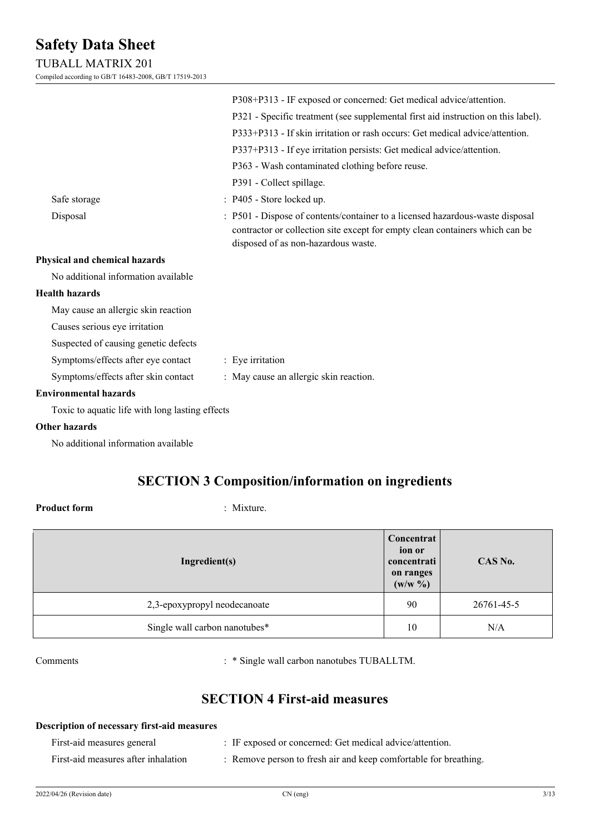### TUBALL MATRIX 201

Compiled according to GB/T 16483-2008, GB/T 17519-2013

|                                                 | P308+P313 - IF exposed or concerned: Get medical advice/attention.                                                                                            |
|-------------------------------------------------|---------------------------------------------------------------------------------------------------------------------------------------------------------------|
|                                                 | P321 - Specific treatment (see supplemental first aid instruction on this label).                                                                             |
|                                                 | P333+P313 - If skin irritation or rash occurs: Get medical advice/attention.                                                                                  |
|                                                 | P337+P313 - If eye irritation persists: Get medical advice/attention.                                                                                         |
|                                                 | P363 - Wash contaminated clothing before reuse.                                                                                                               |
|                                                 |                                                                                                                                                               |
|                                                 | P391 - Collect spillage.                                                                                                                                      |
| Safe storage                                    | : P405 - Store locked up.                                                                                                                                     |
| Disposal                                        | : P501 - Dispose of contents/container to a licensed hazardous-waste disposal<br>contractor or collection site except for empty clean containers which can be |
|                                                 | disposed of as non-hazardous waste.                                                                                                                           |
| Physical and chemical hazards                   |                                                                                                                                                               |
| No additional information available             |                                                                                                                                                               |
| <b>Health hazards</b>                           |                                                                                                                                                               |
| May cause an allergic skin reaction             |                                                                                                                                                               |
| Causes serious eye irritation                   |                                                                                                                                                               |
| Suspected of causing genetic defects            |                                                                                                                                                               |
| Symptoms/effects after eye contact              | : Eye irritation                                                                                                                                              |
| Symptoms/effects after skin contact             | : May cause an allergic skin reaction.                                                                                                                        |
| <b>Environmental hazards</b>                    |                                                                                                                                                               |
| Toxic to aquatic life with long lasting effects |                                                                                                                                                               |
| <b>Other hazards</b>                            |                                                                                                                                                               |
|                                                 |                                                                                                                                                               |

No additional information available

### **SECTION 3 Composition/information on ingredients**

### **Product form** : Mixture.

| Ingredient(s)                 |    | CAS No.    |
|-------------------------------|----|------------|
| 2,3-epoxypropyl neodecanoate  | 90 | 26761-45-5 |
| Single wall carbon nanotubes* | 10 | N/A        |

Comments : \* Single wall carbon nanotubes TUBALLTM.

### **SECTION 4 First-aid measures**

## **Description of necessary first-aid measures** First-aid measures general : IF exposed or concerned: Get medical advice/attention.

First-aid measures after inhalation : Remove person to fresh air and keep comfortable for breathing.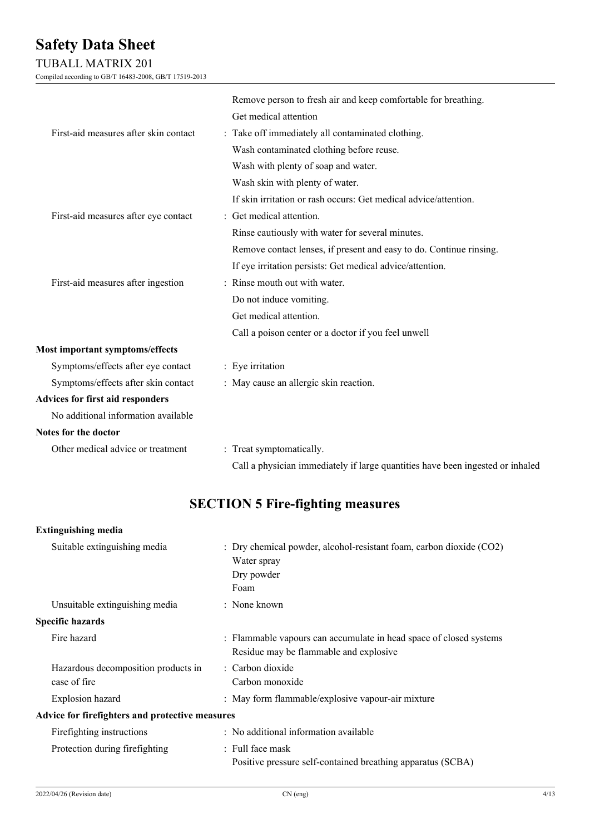### TUBALL MATRIX 201

Compiled according to GB/T 16483-2008, GB/T 17519-2013

|                                         | Remove person to fresh air and keep comfortable for breathing.                 |
|-----------------------------------------|--------------------------------------------------------------------------------|
|                                         | Get medical attention                                                          |
| First-aid measures after skin contact   | : Take off immediately all contaminated clothing.                              |
|                                         | Wash contaminated clothing before reuse.                                       |
|                                         | Wash with plenty of soap and water.                                            |
|                                         | Wash skin with plenty of water.                                                |
|                                         | If skin irritation or rash occurs: Get medical advice/attention.               |
| First-aid measures after eye contact    | : Get medical attention.                                                       |
|                                         | Rinse cautiously with water for several minutes.                               |
|                                         | Remove contact lenses, if present and easy to do. Continue rinsing.            |
|                                         | If eye irritation persists: Get medical advice/attention.                      |
| First-aid measures after ingestion      | : Rinse mouth out with water.                                                  |
|                                         | Do not induce vomiting.                                                        |
|                                         | Get medical attention.                                                         |
|                                         | Call a poison center or a doctor if you feel unwell                            |
| <b>Most important symptoms/effects</b>  |                                                                                |
| Symptoms/effects after eye contact      | : Eye irritation                                                               |
| Symptoms/effects after skin contact     | : May cause an allergic skin reaction.                                         |
| <b>Advices for first aid responders</b> |                                                                                |
| No additional information available     |                                                                                |
| Notes for the doctor                    |                                                                                |
| Other medical advice or treatment       | : Treat symptomatically.                                                       |
|                                         | Call a physician immediately if large quantities have been ingested or inhaled |

## **SECTION 5 Fire-fighting measures**

### **Extinguishing media**

| Suitable extinguishing media                        | $\therefore$ Dry chemical powder, alcohol-resistant foam, carbon dioxide (CO2)<br>Water spray<br>Dry powder<br>Foam |  |  |  |
|-----------------------------------------------------|---------------------------------------------------------------------------------------------------------------------|--|--|--|
| Unsuitable extinguishing media                      | $:$ None known                                                                                                      |  |  |  |
| <b>Specific hazards</b>                             |                                                                                                                     |  |  |  |
| Fire hazard                                         | : Flammable vapours can accumulate in head space of closed systems<br>Residue may be flammable and explosive        |  |  |  |
| Hazardous decomposition products in<br>case of fire | : Carbon dioxide<br>Carbon monoxide                                                                                 |  |  |  |
| Explosion hazard                                    | : May form flammable/explosive vapour-air mixture                                                                   |  |  |  |
| Advice for firefighters and protective measures     |                                                                                                                     |  |  |  |
| Firefighting instructions                           | : No additional information available                                                                               |  |  |  |
| Protection during firefighting                      | : Full face mask<br>Positive pressure self-contained breathing apparatus (SCBA)                                     |  |  |  |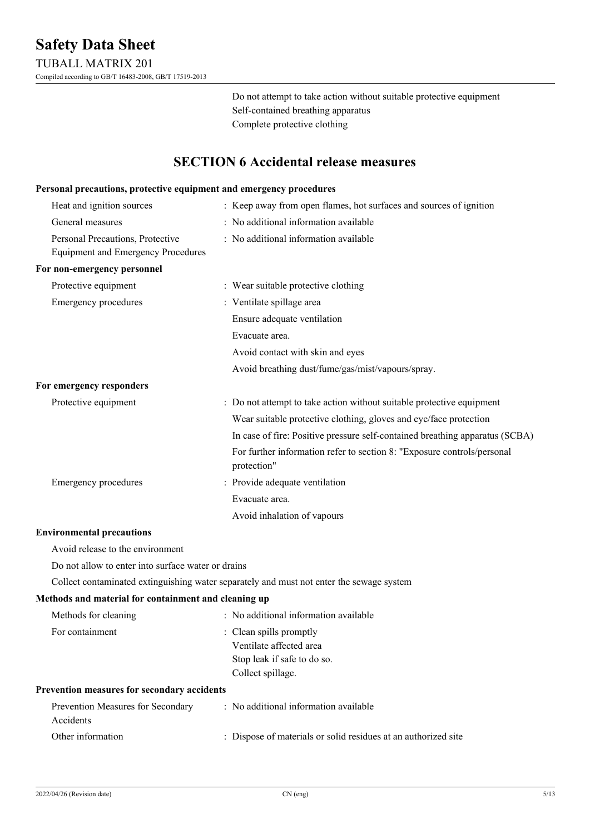Do not attempt to take action without suitable protective equipment Self-contained breathing apparatus Complete protective clothing

### **SECTION 6 Accidental release measures**

#### **Personal precautions, protective equipment and emergency procedures**

| Heat and ignition sources                                                     | : Keep away from open flames, hot surfaces and sources of ignition                     |
|-------------------------------------------------------------------------------|----------------------------------------------------------------------------------------|
| General measures                                                              | : No additional information available                                                  |
| Personal Precautions, Protective<br><b>Equipment and Emergency Procedures</b> | : No additional information available                                                  |
| For non-emergency personnel                                                   |                                                                                        |
| Protective equipment                                                          | : Wear suitable protective clothing                                                    |
| <b>Emergency procedures</b>                                                   | : Ventilate spillage area                                                              |
|                                                                               | Ensure adequate ventilation                                                            |
|                                                                               | Evacuate area.                                                                         |
|                                                                               | Avoid contact with skin and eyes                                                       |
|                                                                               | Avoid breathing dust/fume/gas/mist/vapours/spray.                                      |
| For emergency responders                                                      |                                                                                        |
| Protective equipment                                                          | : Do not attempt to take action without suitable protective equipment                  |
|                                                                               | Wear suitable protective clothing, gloves and eye/face protection                      |
|                                                                               | In case of fire: Positive pressure self-contained breathing apparatus (SCBA)           |
|                                                                               | For further information refer to section 8: "Exposure controls/personal<br>protection" |
| <b>Emergency procedures</b>                                                   | : Provide adequate ventilation                                                         |
|                                                                               | Evacuate area.                                                                         |
|                                                                               | Avoid inhalation of vapours                                                            |

#### **Environmental precautions**

Avoid release to the environment

Do not allow to enter into surface water or drains

Collect contaminated extinguishing water separately and must not enter the sewage system

#### **Methods and material for containment and cleaning up**

| Methods for cleaning                               | : No additional information available |
|----------------------------------------------------|---------------------------------------|
| For containment                                    | : Clean spills promptly               |
|                                                    | Ventilate affected area               |
|                                                    | Stop leak if safe to do so.           |
|                                                    | Collect spillage.                     |
| <b>Prevention measures for secondary accidents</b> |                                       |
| Prevention Measures for Secondary<br>Accidents     | : No additional information available |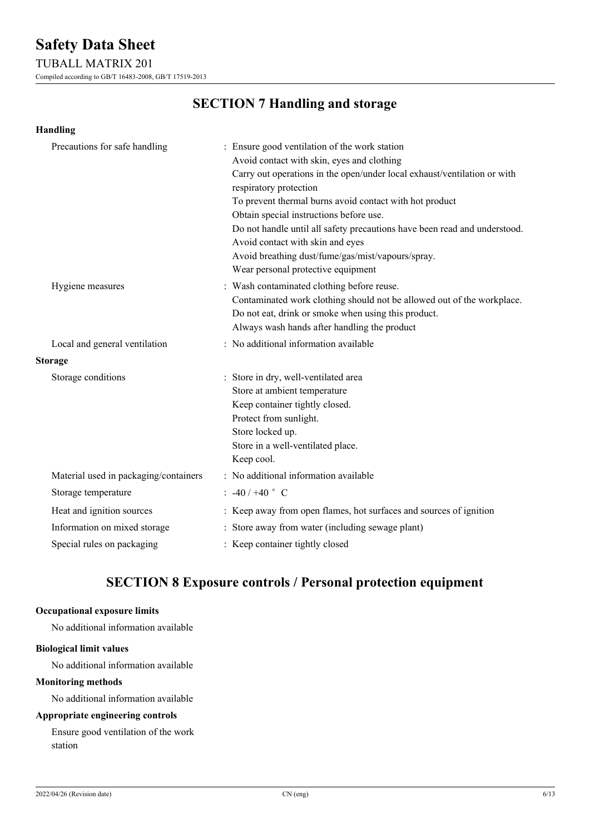### TUBALL MATRIX 201

Compiled according to GB/T 16483-2008, GB/T 17519-2013

### **SECTION 7 Handling and storage**

| <b>Handling</b>                       |                                                                                                                                                                                                                                                                                                                                                                                                                                                                                                                     |
|---------------------------------------|---------------------------------------------------------------------------------------------------------------------------------------------------------------------------------------------------------------------------------------------------------------------------------------------------------------------------------------------------------------------------------------------------------------------------------------------------------------------------------------------------------------------|
| Precautions for safe handling         | : Ensure good ventilation of the work station<br>Avoid contact with skin, eyes and clothing<br>Carry out operations in the open/under local exhaust/ventilation or with<br>respiratory protection<br>To prevent thermal burns avoid contact with hot product<br>Obtain special instructions before use.<br>Do not handle until all safety precautions have been read and understood.<br>Avoid contact with skin and eyes<br>Avoid breathing dust/fume/gas/mist/vapours/spray.<br>Wear personal protective equipment |
| Hygiene measures                      | : Wash contaminated clothing before reuse.<br>Contaminated work clothing should not be allowed out of the workplace.<br>Do not eat, drink or smoke when using this product.<br>Always wash hands after handling the product                                                                                                                                                                                                                                                                                         |
| Local and general ventilation         | : No additional information available                                                                                                                                                                                                                                                                                                                                                                                                                                                                               |
| <b>Storage</b>                        |                                                                                                                                                                                                                                                                                                                                                                                                                                                                                                                     |
| Storage conditions                    | : Store in dry, well-ventilated area<br>Store at ambient temperature<br>Keep container tightly closed.<br>Protect from sunlight.<br>Store locked up.<br>Store in a well-ventilated place.<br>Keep cool.                                                                                                                                                                                                                                                                                                             |
| Material used in packaging/containers | : No additional information available                                                                                                                                                                                                                                                                                                                                                                                                                                                                               |
| Storage temperature                   | $: -40/ +40$ ° C                                                                                                                                                                                                                                                                                                                                                                                                                                                                                                    |
| Heat and ignition sources             | : Keep away from open flames, hot surfaces and sources of ignition                                                                                                                                                                                                                                                                                                                                                                                                                                                  |
| Information on mixed storage          | : Store away from water (including sewage plant)                                                                                                                                                                                                                                                                                                                                                                                                                                                                    |
| Special rules on packaging            | : Keep container tightly closed                                                                                                                                                                                                                                                                                                                                                                                                                                                                                     |

### **SECTION 8 Exposure controls / Personal protection equipment**

### **Occupational exposure limits**

No additional information available

#### **Biological limit values**

No additional information available

### **Monitoring methods**

No additional information available

### **Appropriate engineering controls**

Ensure good ventilation of the work station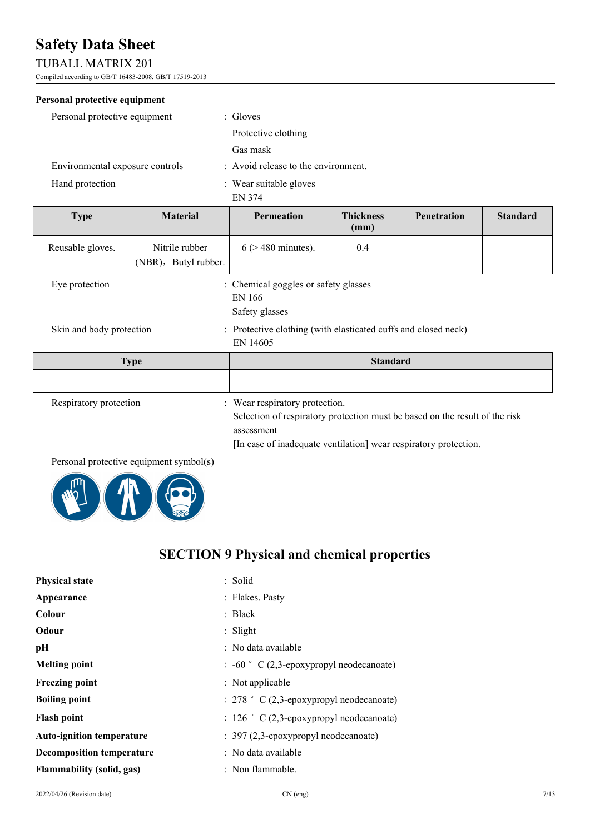### TUBALL MATRIX 201

Compiled according to GB/T 16483-2008, GB/T 17519-2013

### **Personal protective equipment**

| Personal protective equipment   | $\therefore$ Gloves                 |
|---------------------------------|-------------------------------------|
|                                 | Protective clothing                 |
|                                 | Gas mask                            |
| Environmental exposure controls | : Avoid release to the environment. |
| Hand protection                 | : Wear suitable gloves<br>EN 374    |

| <b>Type</b>              | <b>Material</b>                        | <b>Permeation</b>                                                                                                           | <b>Thickness</b><br>(mm) | <b>Penetration</b> | <b>Standard</b> |
|--------------------------|----------------------------------------|-----------------------------------------------------------------------------------------------------------------------------|--------------------------|--------------------|-----------------|
| Reusable gloves.         | Nitrile rubber<br>(NBR), Butyl rubber. | $6$ ( $>$ 480 minutes).                                                                                                     | 0.4                      |                    |                 |
| Eye protection           |                                        | : Chemical goggles or safety glasses<br>EN 166<br>Safety glasses                                                            |                          |                    |                 |
| Skin and body protection |                                        | : Protective clothing (with elasticated cuffs and closed neck)<br>EN 14605                                                  |                          |                    |                 |
| <b>Type</b>              |                                        | <b>Standard</b>                                                                                                             |                          |                    |                 |
|                          |                                        |                                                                                                                             |                          |                    |                 |
| Respiratory protection   |                                        | : Wear respiratory protection.<br>Selection of respiratory protection must be based on the result of the risk<br>assessment |                          |                    |                 |

[In case of inadequate ventilation] wear respiratory protection.

### Personal protective equipment symbol(s)



## **SECTION 9 Physical and chemical properties**

| <b>Physical state</b>            | : Solid                                             |
|----------------------------------|-----------------------------------------------------|
| Appearance                       | : Flakes. Pasty                                     |
| Colour                           | : $Black$                                           |
| Odour                            | : Slight                                            |
| pН                               | : No data available                                 |
| <b>Melting point</b>             | $\therefore$ -60 ° C (2,3-epoxypropyl neodecanoate) |
| <b>Freezing point</b>            | : Not applicable                                    |
| <b>Boiling point</b>             | $: 278$ $\degree$ C (2,3-epoxypropyl neodecanoate)  |
| <b>Flash point</b>               | $: 126$ $\degree$ C (2,3-epoxypropyl neodecanoate)  |
| <b>Auto-ignition temperature</b> | $: 397 (2,3$ -epoxypropyl neodecanoate)             |
| <b>Decomposition temperature</b> | : No data available                                 |
| <b>Flammability (solid, gas)</b> | : Non flammable.                                    |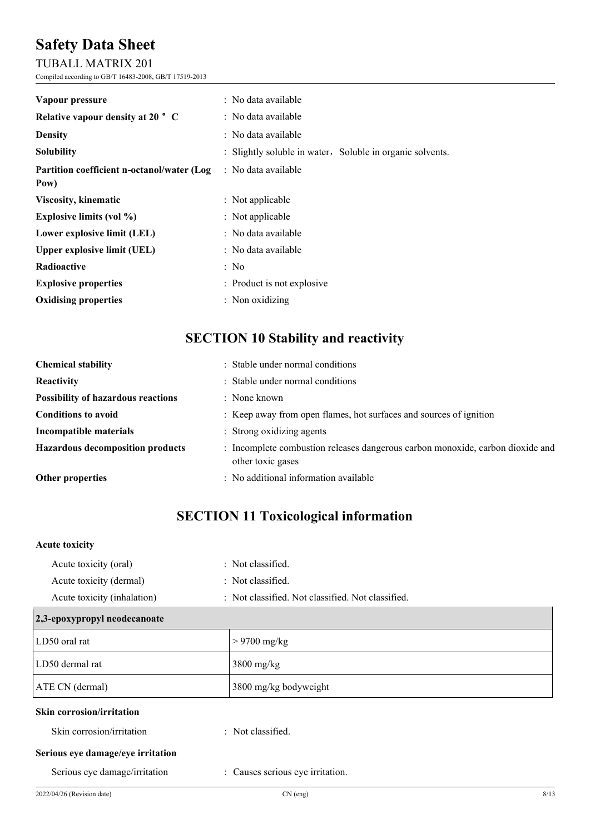### TUBALL MATRIX 201

Compiled according to GB/T 16483-2008, GB/T 17519-2013

| Vapour pressure                                     | : No data available                                       |
|-----------------------------------------------------|-----------------------------------------------------------|
| Relative vapour density at 20 ° C                   | : No data available                                       |
| <b>Density</b>                                      | : No data available                                       |
| <b>Solubility</b>                                   | : Slightly soluble in water, Soluble in organic solvents. |
| Partition coefficient n-octanol/water (Log)<br>Pow) | : No data available                                       |
| <b>Viscosity, kinematic</b>                         | : Not applicable                                          |
| <b>Explosive limits (vol %)</b>                     | : Not applicable                                          |
| Lower explosive limit (LEL)                         | : No data available                                       |
| <b>Upper explosive limit (UEL)</b>                  | : No data available                                       |
| Radioactive                                         | : No                                                      |
| <b>Explosive properties</b>                         | : Product is not explosive                                |
| <b>Oxidising properties</b>                         | $:$ Non oxidizing                                         |

## **SECTION 10 Stability and reactivity**

| <b>Chemical stability</b>                 | : Stable under normal conditions                                                                    |
|-------------------------------------------|-----------------------------------------------------------------------------------------------------|
| Reactivity                                | : Stable under normal conditions                                                                    |
| <b>Possibility of hazardous reactions</b> | $:$ None known                                                                                      |
| <b>Conditions to avoid</b>                | : Keep away from open flames, hot surfaces and sources of ignition                                  |
| Incompatible materials                    | : Strong oxidizing agents                                                                           |
| <b>Hazardous decomposition products</b>   | : Incomplete combustion releases dangerous carbon monoxide, carbon dioxide and<br>other toxic gases |
| <b>Other properties</b>                   | : No additional information available                                                               |

## **SECTION 11 Toxicological information**

### **Acute toxicity**

| $\overline{1}$ $\overline{2}$ $\overline{2}$ $\overline{3}$ $\overline{4}$ $\overline{2}$ $\overline{3}$ $\overline{2}$ $\overline{3}$ $\overline{4}$ $\overline{3}$ $\overline{4}$ $\overline{2}$ $\overline{3}$ $\overline{4}$ $\overline{2}$ $\overline{3}$ $\overline{4}$ $\overline{2}$ $\overline{3}$ $\overline{4}$ $\overline{2}$ $\overline{3}$ $\overline{4}$ $\overline{$ |                                                   |
|--------------------------------------------------------------------------------------------------------------------------------------------------------------------------------------------------------------------------------------------------------------------------------------------------------------------------------------------------------------------------------------|---------------------------------------------------|
| Acute toxicity (inhalation)                                                                                                                                                                                                                                                                                                                                                          | : Not classified. Not classified. Not classified. |
| Acute toxicity (dermal)                                                                                                                                                                                                                                                                                                                                                              | : Not classified.                                 |
| Acute toxicity (oral)                                                                                                                                                                                                                                                                                                                                                                | : Not classified.                                 |

| $\vert$ 2, 3-е роду ргорут неоцесаноате |                       |
|-----------------------------------------|-----------------------|
| LD50 oral rat                           | $> 9700$ mg/kg        |
| LD50 dermal rat                         | $3800$ mg/kg          |
| ATE CN (dermal)                         | 3800 mg/kg bodyweight |
| <b>Skin corrosion/irritation</b>        |                       |
| Skin corrosion/irritation               | : Not classified.     |
| Serious eye damage/eye irritation       |                       |

Serious eye damage/irritation : Causes serious eye irritation.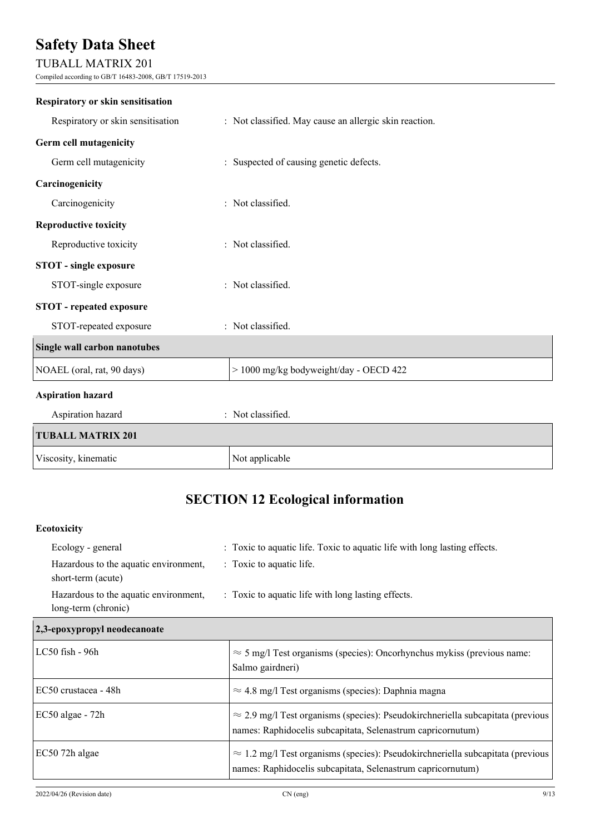### TUBALL MATRIX 201

Compiled according to GB/T 16483-2008, GB/T 17519-2013

| <b>Respiratory or skin sensitisation</b> |                                                        |
|------------------------------------------|--------------------------------------------------------|
| Respiratory or skin sensitisation        | : Not classified. May cause an allergic skin reaction. |
| Germ cell mutagenicity                   |                                                        |
| Germ cell mutagenicity                   | : Suspected of causing genetic defects.                |
| Carcinogenicity                          |                                                        |
| Carcinogenicity                          | : Not classified.                                      |
| <b>Reproductive toxicity</b>             |                                                        |
| Reproductive toxicity                    | : Not classified.                                      |
| <b>STOT</b> - single exposure            |                                                        |
| STOT-single exposure                     | : Not classified.                                      |
| <b>STOT</b> - repeated exposure          |                                                        |
| STOT-repeated exposure                   | : Not classified.                                      |
| Single wall carbon nanotubes             |                                                        |
| NOAEL (oral, rat, 90 days)               | > 1000 mg/kg bodyweight/day - OECD 422                 |
| <b>Aspiration hazard</b>                 |                                                        |
| Aspiration hazard                        | : Not classified.                                      |
| <b>TUBALL MATRIX 201</b>                 |                                                        |
| Viscosity, kinematic                     | Not applicable                                         |

## **SECTION 12 Ecological information**

### **Ecotoxicity**

| Ecology - general                                            | : Toxic to aquatic life. Toxic to aquatic life with long lasting effects. |
|--------------------------------------------------------------|---------------------------------------------------------------------------|
| Hazardous to the aquatic environment,<br>short-term (acute)  | : Toxic to aquatic life.                                                  |
| Hazardous to the aquatic environment,<br>long-term (chronic) | : Toxic to aquatic life with long lasting effects.                        |

### **2,3-epoxypropyl neodecanoate**

| $LC50$ fish - $96h$  | $\approx$ 5 mg/l Test organisms (species): Oncorhynchus mykiss (previous name:<br>Salmo gairdneri)                                                    |
|----------------------|-------------------------------------------------------------------------------------------------------------------------------------------------------|
| EC50 crustacea - 48h | $\approx$ 4.8 mg/l Test organisms (species): Daphnia magna                                                                                            |
| $EC50$ algae - $72h$ | $\approx$ 2.9 mg/l Test organisms (species): Pseudokirchneriella subcapitata (previous<br>names: Raphidocelis subcapitata, Selenastrum capricornutum) |
| EC50 72h algae       | $\approx 1.2$ mg/l Test organisms (species): Pseudokirchneriella subcapitata (previous<br>names: Raphidocelis subcapitata, Selenastrum capricornutum) |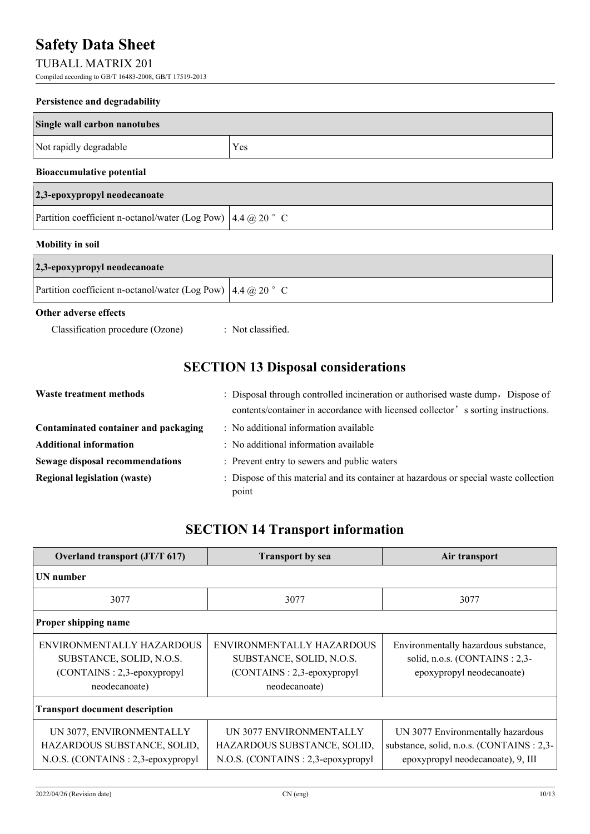### TUBALL MATRIX 201

Compiled according to GB/T 16483-2008, GB/T 17519-2013

#### **Persistence and degradability**

| Single wall carbon nanotubes     |     |  |
|----------------------------------|-----|--|
| Not rapidly degradable           | Yes |  |
| <b>Bioaccumulative potential</b> |     |  |
| 2,3-epoxypropyl neodecanoate     |     |  |
|                                  |     |  |

### **Mobility in soil**

| 2,3-epoxypropyl neodecanoate                                                  |  |
|-------------------------------------------------------------------------------|--|
| Partition coefficient n-octanol/water (Log Pow) $\left  4.4 \right  @ 20$ ° C |  |

### **Other adverse effects**

Classification procedure (Ozone) : Not classified.

Partition coefficient n-octanol/water (Log Pow)  $\left| 4.4 \right| @ 20 °$  C

## **SECTION 13 Disposal considerations**

| Waste treatment methods                | : Disposal through controlled incineration or authorised waste dump, Dispose of                |  |
|----------------------------------------|------------------------------------------------------------------------------------------------|--|
|                                        | contents/container in accordance with licensed collector' s sorting instructions.              |  |
| Contaminated container and packaging   | : No additional information available                                                          |  |
| <b>Additional information</b>          | : No additional information available                                                          |  |
| <b>Sewage disposal recommendations</b> | : Prevent entry to sewers and public waters                                                    |  |
| <b>Regional legislation (waste)</b>    | : Dispose of this material and its container at hazardous or special waste collection<br>point |  |

## **SECTION 14 Transport information**

| Overland transport (JT/T 617)                                                                        | <b>Transport by sea</b>                                                                              | Air transport                                                                                                      |
|------------------------------------------------------------------------------------------------------|------------------------------------------------------------------------------------------------------|--------------------------------------------------------------------------------------------------------------------|
| <b>UN</b> number                                                                                     |                                                                                                      |                                                                                                                    |
| 3077                                                                                                 | 3077                                                                                                 | 3077                                                                                                               |
| Proper shipping name                                                                                 |                                                                                                      |                                                                                                                    |
| ENVIRONMENTALLY HAZARDOUS<br>SUBSTANCE, SOLID, N.O.S.<br>(CONTAINS: 2,3-epoxypropyl<br>neodecanoate) | ENVIRONMENTALLY HAZARDOUS<br>SUBSTANCE, SOLID, N.O.S.<br>(CONTAINS: 2,3-epoxypropyl<br>neodecanoate) | Environmentally hazardous substance,<br>solid, n.o.s. (CONTAINS: 2,3-<br>epoxypropyl neodecanoate)                 |
| <b>Transport document description</b>                                                                |                                                                                                      |                                                                                                                    |
| UN 3077, ENVIRONMENTALLY<br>HAZARDOUS SUBSTANCE, SOLID,<br>N.O.S. (CONTAINS: 2,3-epoxypropyl         | UN 3077 ENVIRONMENTALLY<br>HAZARDOUS SUBSTANCE, SOLID,<br>N.O.S. (CONTAINS: 2,3-epoxypropyl          | UN 3077 Environmentally hazardous<br>substance, solid, n.o.s. (CONTAINS: 2,3-<br>epoxypropyl neodecanoate), 9, III |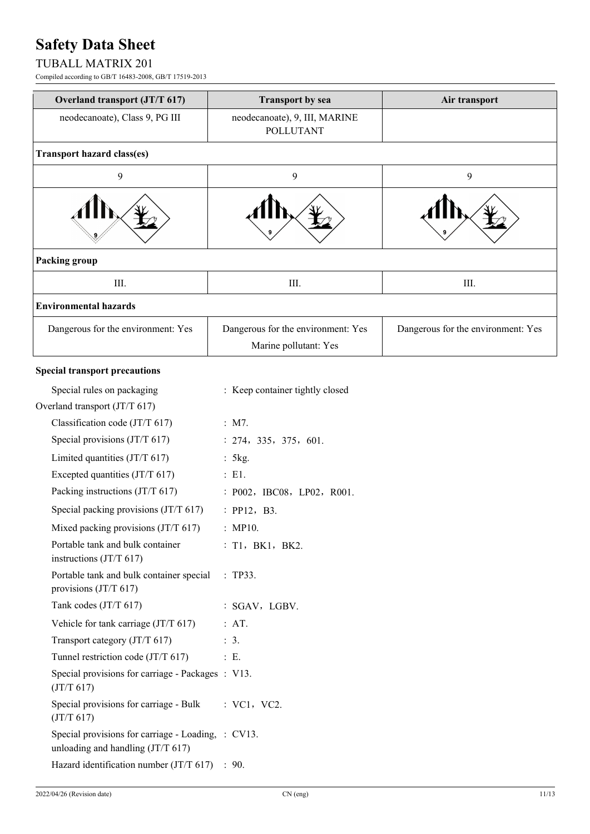### TUBALL MATRIX 201

Compiled according to GB/T 16483-2008, GB/T 17519-2013

| Overland transport (JT/T 617)                                                           | <b>Transport by sea</b>                                     | Air transport                      |
|-----------------------------------------------------------------------------------------|-------------------------------------------------------------|------------------------------------|
| neodecanoate), Class 9, PG III                                                          | neodecanoate), 9, III, MARINE<br><b>POLLUTANT</b>           |                                    |
| Transport hazard class(es)                                                              |                                                             |                                    |
| 9                                                                                       | 9                                                           | 9                                  |
|                                                                                         |                                                             |                                    |
| Packing group                                                                           |                                                             |                                    |
| III.                                                                                    | Ш.                                                          | III.                               |
| <b>Environmental hazards</b>                                                            |                                                             |                                    |
| Dangerous for the environment: Yes                                                      | Dangerous for the environment: Yes<br>Marine pollutant: Yes | Dangerous for the environment: Yes |
| <b>Special transport precautions</b>                                                    |                                                             |                                    |
| Special rules on packaging                                                              | : Keep container tightly closed                             |                                    |
| Overland transport (JT/T 617)                                                           |                                                             |                                    |
| Classification code (JT/T 617)                                                          | : M7.                                                       |                                    |
| Special provisions (JT/T 617)                                                           | : 274, 335, 375, 601.                                       |                                    |
| Limited quantities $(JT/T 617)$                                                         | : 5kg.                                                      |                                    |
| Excepted quantities (JT/T 617)                                                          | $\therefore$ E1.                                            |                                    |
| Packing instructions (JT/T 617)                                                         | : P002, IBC08, LP02, R001.                                  |                                    |
| Special packing provisions (JT/T 617)                                                   | : PP12, B3.                                                 |                                    |
| Mixed packing provisions (JT/T 617)                                                     | : MP10.                                                     |                                    |
| Portable tank and bulk container<br>instructions $(T/T 617)$                            | : T1, BK1, BK2.                                             |                                    |
| Portable tank and bulk container special<br>provisions (JT/T 617)                       | :TP33.                                                      |                                    |
| Tank codes (JT/T 617)                                                                   | : SGAV, LGBV.                                               |                                    |
| Vehicle for tank carriage (JT/T 617)                                                    | : AT.                                                       |                                    |
| Transport category (JT/T 617)                                                           | $\therefore$ 3.                                             |                                    |
| Tunnel restriction code (JT/T 617)                                                      | : E.                                                        |                                    |
| Special provisions for carriage - Packages : V13.<br>(JT/T 617)                         |                                                             |                                    |
| Special provisions for carriage - Bulk<br>(JT/T 617)                                    | : VC1, VC2.                                                 |                                    |
| Special provisions for carriage - Loading, : CV13.<br>unloading and handling (JT/T 617) |                                                             |                                    |
| Hazard identification number $(T/T 617)$ : 90.                                          |                                                             |                                    |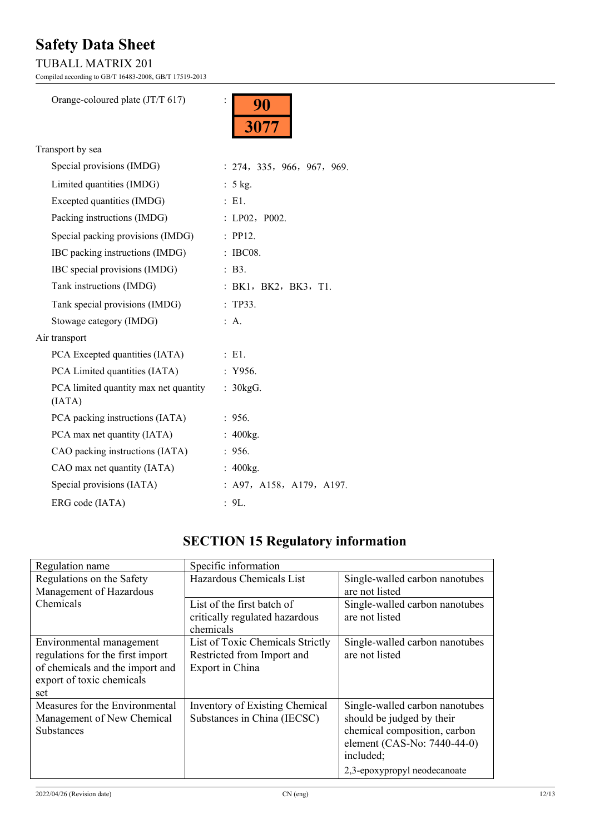### TUBALL MATRIX 201

Compiled according to GB/T 16483-2008, GB/T 17519-2013

| Orange-coloured plate (JT/T 617)                | 90<br>3077                 |
|-------------------------------------------------|----------------------------|
| Transport by sea                                |                            |
| Special provisions (IMDG)                       | : 274, 335, 966, 967, 969. |
| Limited quantities (IMDG)                       | $: 5$ kg.                  |
| Excepted quantities (IMDG)                      | : E1.                      |
| Packing instructions (IMDG)                     | : $LP02$ , $P002$ .        |
| Special packing provisions (IMDG)               | : PP12.                    |
| IBC packing instructions (IMDG)                 | : IBC08.                   |
| IBC special provisions (IMDG)                   | $\therefore$ B3.           |
| Tank instructions (IMDG)                        | : BK1, BK2, BK3, T1.       |
| Tank special provisions (IMDG)                  | :TP33.                     |
| Stowage category (IMDG)                         | : A.                       |
| Air transport                                   |                            |
| PCA Excepted quantities (IATA)                  | $E_{\rm E}$ E1.            |
| PCA Limited quantities (IATA)                   | : Y956.                    |
| PCA limited quantity max net quantity<br>(IATA) | : 30kgG.                   |
| PCA packing instructions (IATA)                 | : 956.                     |
| PCA max net quantity (IATA)                     | : $400kg$ .                |
| CAO packing instructions (IATA)                 | : 956.                     |

ERG code (IATA) : 9L.

Special provisions (IATA) : A97, A158, A179, A197.

CAO max net quantity (IATA) : 400kg.

## **SECTION 15 Regulatory information**

| Regulation name                  | Specific information             |                                |
|----------------------------------|----------------------------------|--------------------------------|
| Regulations on the Safety        | Hazardous Chemicals List         | Single-walled carbon nanotubes |
| Management of Hazardous          |                                  | are not listed                 |
| Chemicals                        | List of the first batch of       | Single-walled carbon nanotubes |
|                                  | critically regulated hazardous   | are not listed                 |
|                                  | chemicals                        |                                |
| Environmental management         | List of Toxic Chemicals Strictly | Single-walled carbon nanotubes |
| regulations for the first import | Restricted from Import and       | are not listed                 |
| of chemicals and the import and  | Export in China                  |                                |
| export of toxic chemicals        |                                  |                                |
| set                              |                                  |                                |
| Measures for the Environmental   | Inventory of Existing Chemical   | Single-walled carbon nanotubes |
| Management of New Chemical       | Substances in China (IECSC)      | should be judged by their      |
| Substances                       |                                  | chemical composition, carbon   |
|                                  |                                  | element (CAS-No: 7440-44-0)    |
|                                  |                                  | included;                      |
|                                  |                                  | 2,3-epoxypropyl neodecanoate   |